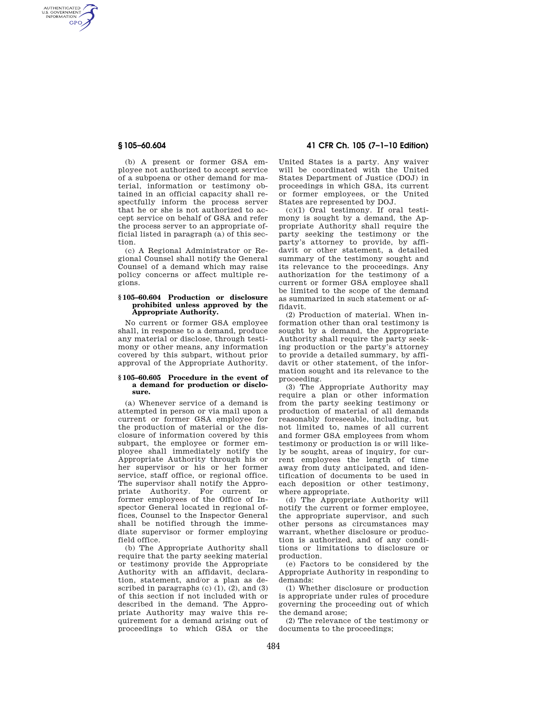AUTHENTICATED<br>U.S. GOVERNMENT<br>INFORMATION **GPO** 

> (b) A present or former GSA employee not authorized to accept service of a subpoena or other demand for material, information or testimony obtained in an official capacity shall respectfully inform the process server that he or she is not authorized to accept service on behalf of GSA and refer the process server to an appropriate official listed in paragraph (a) of this section.

> (c) A Regional Administrator or Regional Counsel shall notify the General Counsel of a demand which may raise policy concerns or affect multiple regions.

### **§ 105–60.604 Production or disclosure prohibited unless approved by the Appropriate Authority.**

No current or former GSA employee shall, in response to a demand, produce any material or disclose, through testimony or other means, any information covered by this subpart, without prior approval of the Appropriate Authority.

## **§ 105–60.605 Procedure in the event of a demand for production or disclosure.**

(a) Whenever service of a demand is attempted in person or via mail upon a current or former GSA employee for the production of material or the disclosure of information covered by this subpart, the employee or former employee shall immediately notify the Appropriate Authority through his or her supervisor or his or her former service, staff office, or regional office. The supervisor shall notify the Appropriate Authority. For current or former employees of the Office of Inspector General located in regional offices, Counsel to the Inspector General shall be notified through the immediate supervisor or former employing field office.

(b) The Appropriate Authority shall require that the party seeking material or testimony provide the Appropriate Authority with an affidavit, declaration, statement, and/or a plan as described in paragraphs  $(c)$   $(1)$ ,  $(2)$ , and  $(3)$ of this section if not included with or described in the demand. The Appropriate Authority may waive this requirement for a demand arising out of proceedings to which GSA or the

# **§ 105–60.604 41 CFR Ch. 105 (7–1–10 Edition)**

United States is a party. Any waiver will be coordinated with the United States Department of Justice (DOJ) in proceedings in which GSA, its current or former employees, or the United States are represented by DOJ.

(c)(1) Oral testimony. If oral testimony is sought by a demand, the Appropriate Authority shall require the party seeking the testimony or the party's attorney to provide, by affidavit or other statement, a detailed summary of the testimony sought and its relevance to the proceedings. Any authorization for the testimony of a current or former GSA employee shall be limited to the scope of the demand as summarized in such statement or affidavit.

(2) Production of material. When information other than oral testimony is sought by a demand, the Appropriate Authority shall require the party seeking production or the party's attorney to provide a detailed summary, by affidavit or other statement, of the information sought and its relevance to the proceeding.

(3) The Appropriate Authority may require a plan or other information from the party seeking testimony or production of material of all demands reasonably foreseeable, including, but not limited to, names of all current and former GSA employees from whom testimony or production is or will likely be sought, areas of inquiry, for current employees the length of time away from duty anticipated, and identification of documents to be used in each deposition or other testimony, where appropriate.

(d) The Appropriate Authority will notify the current or former employee, the appropriate supervisor, and such other persons as circumstances may warrant, whether disclosure or production is authorized, and of any conditions or limitations to disclosure or production.

(e) Factors to be considered by the Appropriate Authority in responding to demands:

(1) Whether disclosure or production is appropriate under rules of procedure governing the proceeding out of which the demand arose;

(2) The relevance of the testimony or documents to the proceedings;